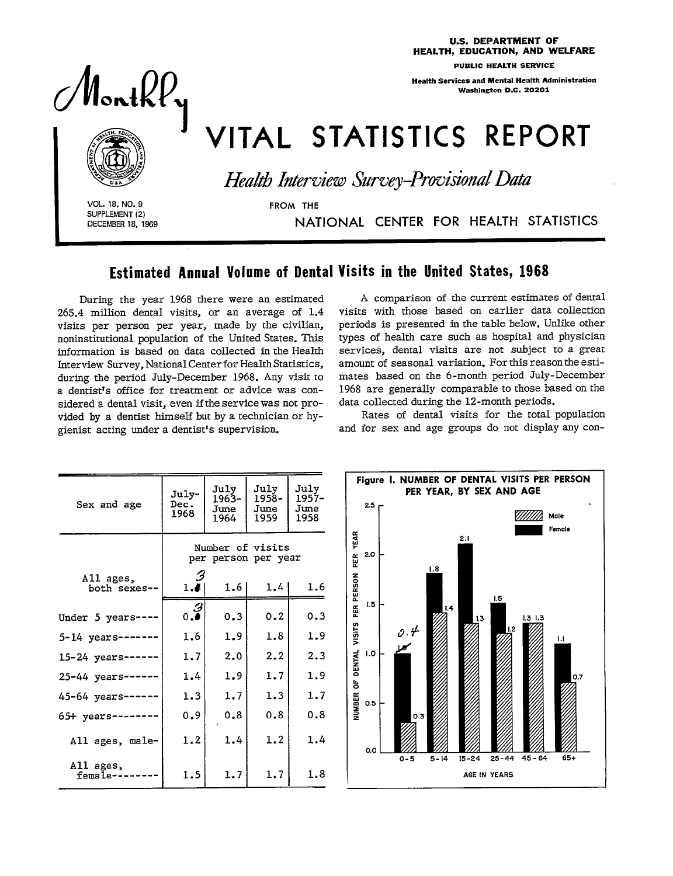$\overline{\phantom{a}}$   $\overline{\phantom{a}}$   $\overline{\phantom{a}}$   $\overline{\phantom{a}}$   $\overline{\phantom{a}}$   $\overline{\phantom{a}}$   $\overline{\phantom{a}}$   $\overline{\phantom{a}}$   $\overline{\phantom{a}}$   $\overline{\phantom{a}}$   $\overline{\phantom{a}}$   $\overline{\phantom{a}}$   $\overline{\phantom{a}}$   $\overline{\phantom{a}}$   $\overline{\phantom{a}}$   $\overline{\phantom{a}}$   $\overline{\phantom{a}}$   $\overline{\phantom{a}}$   $\overline{\$ 

Health Services and Mental Health Administration

# VITAL STATISTICS REPORT

Health Interview Survey-Provisional Data

DECEMBER 18, 1969 NATIONAL CENTER FOR HEALTH STATISTICS

# Estimated Annual Volume of Dental Visits in the United States, 1968

During the year 1968 there were an estimated 265.4 million dentaI visits, or an average of 1.4 visits per person per year, made by the civilian, noninstitutional population of the United States. This information is based on data collected in the Health Interview Survey, National Center for Health Statistics, during the period July-December 1968. Any visit to a dentist's office for treatment or advice was considered a dental visit, even if the service was not pro-<br>vided by a dentist himself but by a technician or hy-<br>rienist acting under a dentist's supervision vided by a dentist himself but by a technician or hy-<br>gienist acting under a dentist's supervision.

A comparison of the current estimates of dental visits with those based on earlier data collection periods is presented in the table below. Unlike other types of health care such as hospital and physician services, dental visits are not subject to a great amount of seasonal variation. For this reason the estimates based on the 6-month period July-December 1968 are generally comparable to those based on the data collected during the 12-month periods.

Rates of dental visits for the total population and for sex and age groups do not display any con-

| Sex and age               | July-<br>Dec.<br>1968 | July<br>$1963 -$<br>June<br>1964               | July<br>1958-<br>June<br>1959 | July<br>1957-<br>June<br>1958 | Figure I. NUMBER OF DENTAL VISITS PER PERSON<br>PER YEAR, BY SEX AND AGE<br>$2.5 -$<br>Male<br>Female |
|---------------------------|-----------------------|------------------------------------------------|-------------------------------|-------------------------------|-------------------------------------------------------------------------------------------------------|
| All ages,<br>both sexes-- | 3<br>1.4              | Number of visits<br>per person per year<br>1.6 | 1.4                           | 1.6                           | YEAR<br>2.1<br>2.0<br>RER<br>1.8<br>PERSON                                                            |
| Under 5 years-            | $\frac{1}{0.9}$       | 0.3                                            | 0.2                           | 0.3                           | 1.5<br>1.5<br>Æ<br> 14 <br>1.31.3<br>  1.3                                                            |
| $5-14$ years-             | 1.6                   | 1.9                                            | 1.8                           | 1.9                           | VISITS<br>1.2<br>$\mathcal{O}, \mathcal{H}$<br>1.1                                                    |
| $15 - 24$ years --        | 1.7                   | 2.0                                            | 2,2                           | 2.3                           | 1.0                                                                                                   |
| $25 - 44$ years-          | 1.4                   | 1.9                                            | 1.7                           | 1.9                           | OF DENTAL<br>0.7                                                                                      |
| 45-64 years               | 1.3                   | 1.7                                            | 1.3                           | 1.7                           | 0.5                                                                                                   |
| 65+ years-                | 0.9                   | 0.8                                            | 0.8                           | 0.8                           | <b>NUMBER</b><br>0.3                                                                                  |
| All ages, male-           | 1.2                   | 1.4                                            | 1.2                           | 1.4                           | 0.0                                                                                                   |
| All ages,<br>female-      | 1.5                   | 1.7                                            | 1.7                           | 1.8                           | $65+$<br>$15 - 24$<br>$25 - 44$<br>$45 - 64$<br>$5 - 14$<br>$0 - 5$<br>AGE IN YEARS                   |



 $\mathcal{U}$ ontk $\mathcal{U}_\mathbf{v}$ 

**I VOL. 18, NO. 9 FROM THE SUPPLEMENT(2)** 

### U.S. DEPARTMENT OF - HEALTH, EDUCATION, AND WELFARE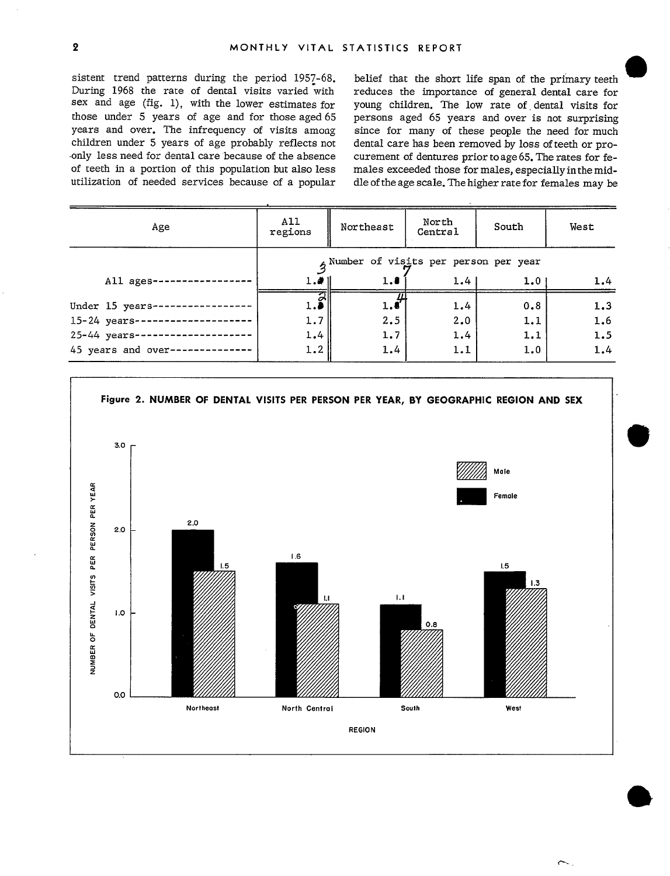sistent trend patterns during the period 1957-68. During 1968 the rate of dental visits varied with sex and age (fig. 1), with the lower estimates for those under 5 years of age and for those aged 65 years and over. The infrequency of visits among children under 5 years of age probably reflects not only less need for dental care because of the absence of teeth in a portion of this population but also less utilization of needed services because of a popular

belief that the short life span of the primary teeth reduces the importance of general dental care for young children. The low rate of dental visits for persons aged 65 years and over is not surprising since for many of these people the need for much dental care has been removed by loss of teeth or procurement of dentures prior to age 65. The rates for females exceeded those for males, especially in the middle of the age scale. The higher rate for females may be

 $\sim$ 

| Age                     | A11<br>regions                                 | Northeast | North<br>Central |     | West |  |  |  |
|-------------------------|------------------------------------------------|-----------|------------------|-----|------|--|--|--|
|                         | $\hat{z}$ Number of visits per person per year |           |                  |     |      |  |  |  |
| All ages-               | 1.41                                           | 1.8       | 1.4              | 1.0 | 1.4  |  |  |  |
| Under 15 years-         | $\overline{a}$                                 | 1.5       | 1.4              | 0.8 | 1.3  |  |  |  |
| 15-24 years--------     | 1.7                                            | 2.5       | 2.0              | 1.1 | 1.6  |  |  |  |
| 25-44 years---------    | 1.4                                            | 1.7       | 1.4              | 1.1 | 1.5  |  |  |  |
| 45 years and over------ | 1.2                                            | 1.4       | 1.1              | 1.0 | 1.4  |  |  |  |

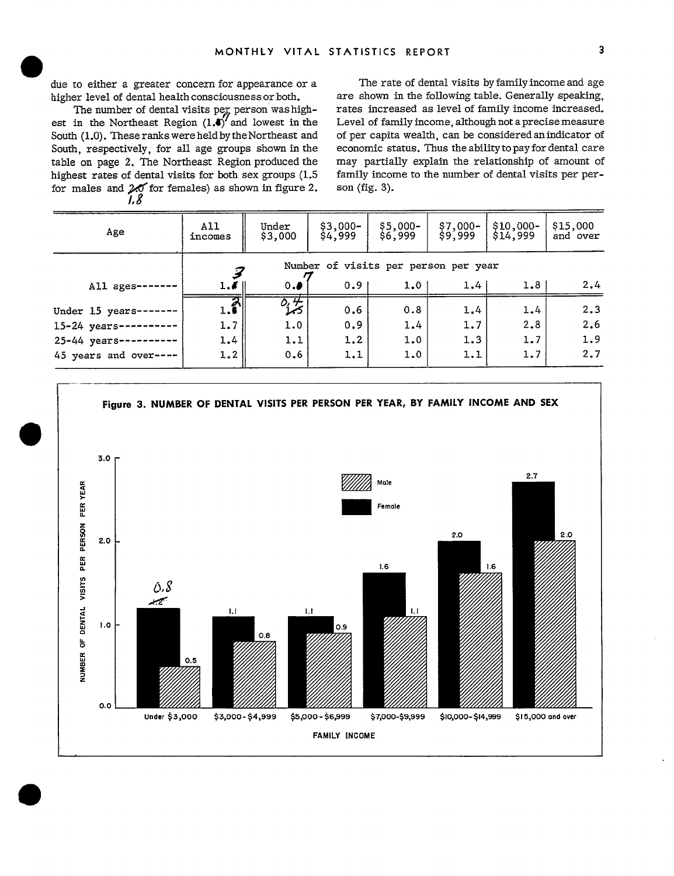3

due to either a greater concern for appearance or a higher level of dental health consciousness or both.

The number of dental visits per person was highest in the Northeast Region  $(1.1)$  and lowest in the South (1.0). These ranks were held by the Northeast and South, respectively, for all age groups shown in the table on page 2. The Northeast Region produced the highest rates of dental visits for both sex groups (1.5) for males and  $20$  for females) as shown in figure 2. 1.8

The rate of dental visits by family income and age are shown in the following table. Generally speaking, rates increased as level of family income increased. Level of family income, although not a precise measure of per capita wealth, can be considered an indicator of economic status. Thus the ability to pay for dental care may partially explain the relationship of amount of family income to the number of dental visits per person (fig. 3).

| Age                   | A11<br>incomes | Under<br>\$3,000                     | $$3,000-$<br>\$4,999 | $$5.000-$<br>\$6,999 | $$7,000-$<br>\$9,999 | $$10,000-$<br>\$14,999 | \$15,000<br>and over |  |  |
|-----------------------|----------------|--------------------------------------|----------------------|----------------------|----------------------|------------------------|----------------------|--|--|
|                       |                | Number of visits per person per year |                      |                      |                      |                        |                      |  |  |
| All ages-             | 1.1            | 0.9                                  | 0.91                 | 1.0 <sub>1</sub>     | 1.4                  | 1.8                    | 2.4                  |  |  |
| Under 15 years-       | 1.5            | $\frac{\delta_i \#}{\delta}$         | 0.6                  | 0.8                  | 1.4                  | 1.4                    | 2.3                  |  |  |
| $15 - 24$ years --    | 1.7            | 1.0                                  | 0.9                  | 1.4                  | 1.7                  | 2.8                    | 2.6                  |  |  |
| 25-44 years --        | 1.4            | 1.1                                  | 1.2                  | 1.0                  | 1.3                  | 1.7                    | 1.9                  |  |  |
| 45 years and over---- | 1.2            | 0.6                                  | 1.1                  | 1.0                  | 1.1                  | 1.7                    | 2.7                  |  |  |

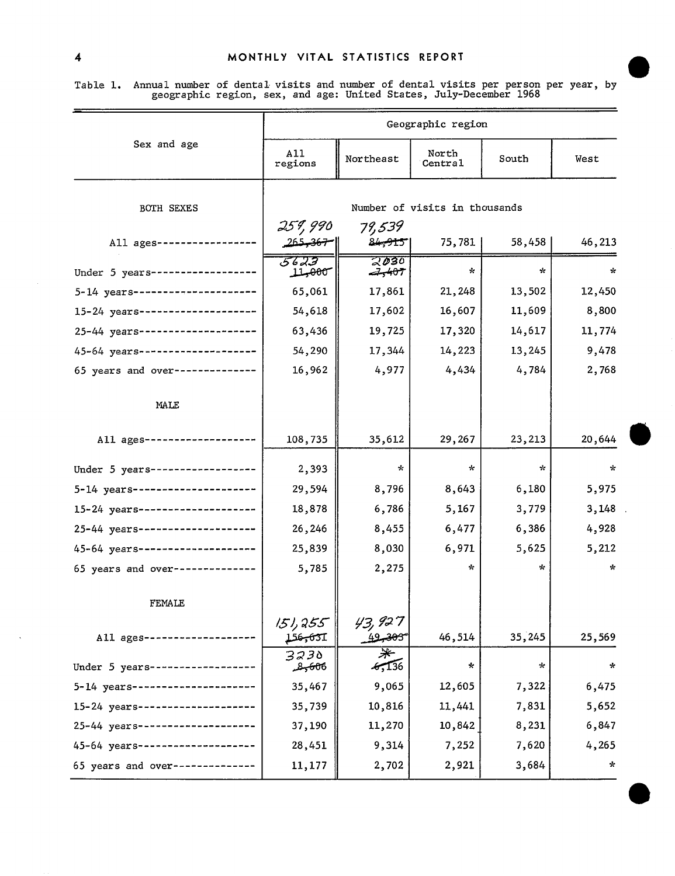| Table 1. Annual number of dental visits and number of dental visits per person per year, by |                                                                    |  |  |  |  |
|---------------------------------------------------------------------------------------------|--------------------------------------------------------------------|--|--|--|--|
|                                                                                             | geographic region, sex, and age: United States, July-December 1968 |  |  |  |  |

|                                   | Geographic region                   |                               |                               |         |          |  |  |  |
|-----------------------------------|-------------------------------------|-------------------------------|-------------------------------|---------|----------|--|--|--|
| Sex and age                       | A11<br>regions                      | Northeast                     | North<br>Central              | South   | West     |  |  |  |
| <b>BOTH SEXES</b>                 |                                     |                               | Number of visits in thousands |         |          |  |  |  |
| All ages--------------            | 259,990<br>   <del>- 36, د</del> عد | 79,539<br>84 <del>,91</del> 5 | $75,781$                      | 58,458  | 46,213   |  |  |  |
| Under 5 years---------------      | 5623<br>11,000                      | 2030<br>$-7,407$              | $\star$                       | ÷       | $\star$  |  |  |  |
| 5-14 years---------------------   | 65,061                              | 17,861                        | 21,248                        | 13,502  | 12,450   |  |  |  |
| 15-24 years--------------------   | 54,618                              | 17,602                        | 16,607                        | 11,609  | 8,800    |  |  |  |
| 25-44 years --------------------  | 63,436                              | 19,725                        | 17,320                        | 14,617  | 11,774   |  |  |  |
| 45-64 years --------------------  | 54,290                              | 17,344                        | 14,223                        | 13,245  | 9,478    |  |  |  |
| 65 years and over--------------   | 16,962                              | 4,977                         | 4,434                         | 4,784   | 2,768    |  |  |  |
| MALE                              |                                     |                               |                               |         |          |  |  |  |
| All ages ------------             | 108,735                             | 35,612                        | 29,267                        | 23,213  | 20,644   |  |  |  |
| Under 5 years ------------------  | 2,393                               | $\star$                       | $\star$                       | ÷.      | $\star$  |  |  |  |
| 5-14 years---------------------   | 29,594                              | 8,796                         | 8,643                         | 6,180   | 5,975    |  |  |  |
| 15-24 years--------------------   | 18,878                              | 6,786                         | 5,167                         | 3,779   | 3,148    |  |  |  |
| 25-44 years--------------------   | 26,246                              | 8,455                         | 6,477                         | 6,386   | 4,928    |  |  |  |
| 45-64 years --------------------- | 25,839                              | 8,030                         | 6,971                         | 5,625   | 5,212    |  |  |  |
| 65 years and over --------------  | 5,785                               | 2,275                         | $\sim$                        | ÷.      | $\star$  |  |  |  |
| FEMALE                            |                                     |                               |                               |         |          |  |  |  |
| All ages ------                   | 151,355<br>جهيهجه                   | 43, I2 T<br>كتلخصيص           | 46,514                        | 35,245  | 25,569   |  |  |  |
| Under 5 years--------------       | 3230<br><del>9,60</del> 6 محمد      | ☀<br>5.136                    | $\star$                       | $\star$ | $\star$  |  |  |  |
| 5-14 years----------------        | 35,467                              | 9,065                         | 12,605                        | 7,322   | 6,475    |  |  |  |
| 15-24 years-------------          | 35,739                              | 10,816                        | 11,441                        | 7,831   | 5,652    |  |  |  |
| 25-44 years ----------------      | 37,190                              | 11,270                        | 10,842                        | 8,231   | 6,847    |  |  |  |
| 45-64 years ----                  | 28,451                              | 9,314                         | 7,252                         | 7,620   | 4,265    |  |  |  |
| 65 years and over ----------      | 11,177                              | 2,702                         | 2,921                         | 3,684   | $\kappa$ |  |  |  |

**e**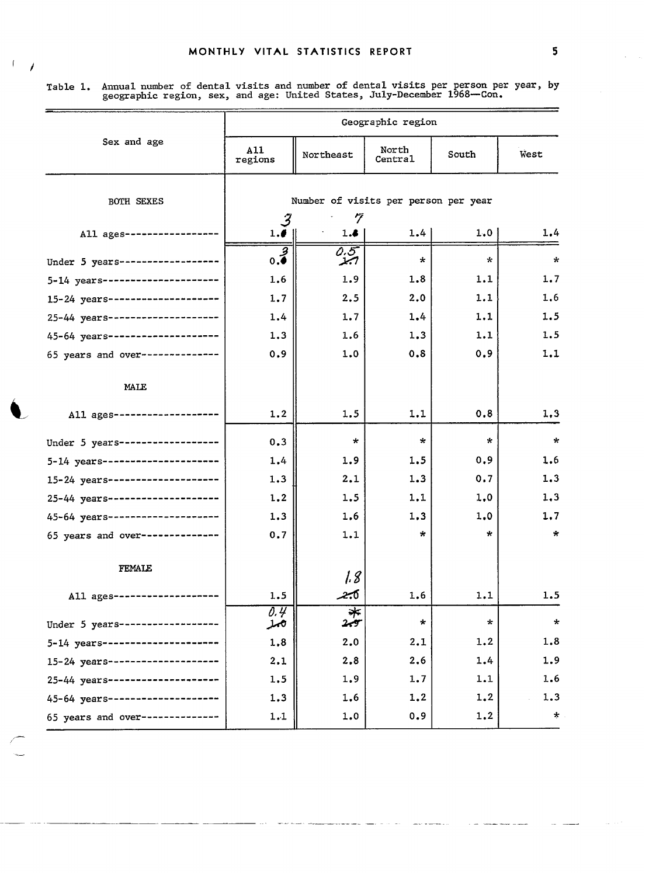**'/** 

Table 1. Annual number of dental visits and number of dental visits per person per year, by geographic region, sex, and age: United States, July-December 1968—Con.

|                                   | Geographic region                         |                                      |                  |         |         |  |  |  |
|-----------------------------------|-------------------------------------------|--------------------------------------|------------------|---------|---------|--|--|--|
| Sex and age                       | A11<br>regions                            | Northeast                            | North<br>Central | South   | West    |  |  |  |
| <b>BOTH SEXES</b>                 |                                           | Number of visits per person per year |                  |         |         |  |  |  |
| All ages------------              | 3<br>1.6                                  | 7<br>1.8                             | 1.4              | 1.0     | 1.4     |  |  |  |
| Under 5 years ------------------  | $\overline{\overline{\cdot \cdot \cdot}}$ | 0.5<br>ابجر                          | $\star$          | $\star$ | $\star$ |  |  |  |
| 5-14 years---------------------   | 1.6                                       | 1.9                                  | 1.8              | 1.1     | 1.7     |  |  |  |
| 15-24 years---------------------  | 1.7                                       | 2.5                                  | 2.0              | 1.1     | 1.6     |  |  |  |
| 25-44 years---------------------  | 1.4                                       | 1.7                                  | 1.4              | 1.1     | 1.5     |  |  |  |
| 45-64 years --------------------  | 1.3                                       | 1.6                                  | 1.3              | 1.1     | 1.5     |  |  |  |
| 65 years and over --------------  | 0.9                                       | 1.0                                  | 0.8              | 0.9     | 1.1     |  |  |  |
| MALE                              |                                           |                                      |                  |         |         |  |  |  |
| All ages ----------               | 1.2                                       | 1.5                                  | 1.1              | 0.8     | 1,3     |  |  |  |
| Under 5 years ------------------  | 0.3                                       | $\star$                              | $\star$          | $\star$ | $\star$ |  |  |  |
| 5-14 years---------------------   | 1,4                                       | 1.9                                  | 1.5              | 0,9     | 1.6     |  |  |  |
| 15-24 years --------------------  | 1.3                                       | 2,1                                  | 1.3              | 0.7     | 1.3     |  |  |  |
| 25-44 years --------------------  | 1.2                                       | 1.5                                  | 1.1              | 1,0     | 1,3     |  |  |  |
| 45-64 years --------------------- | 1.3                                       | 1.6                                  | 1,3              | 1.0     | 1.7     |  |  |  |
| 65 years and over--------------   | 0.7                                       | 1.1                                  | $\star$          | *       | $\star$ |  |  |  |
| <b>FEMALE</b>                     |                                           | 18                                   |                  |         |         |  |  |  |
| All ages ----                     | 1.5                                       | 4.0                                  | 1.6              | 1.1     | 1.5     |  |  |  |
| Under 5 years --------------      | 0.4<br>ەمد                                | ∗<br>بجر2                            | $\star$          | $\star$ | $\star$ |  |  |  |
| 5-14 years---------------------   | 1.8                                       | 2.0                                  | 2.1              | 1.2     | 1.8     |  |  |  |
| 15-24 years --------------------  | 2.1                                       | 2.8                                  | 2.6              | 1.4     | 1.9     |  |  |  |
| 25-44 years --------------------  | 1.5                                       | 1.9                                  | 1.7              | 1.1     | 1.6     |  |  |  |
| 45-64 years --------------------  | 1.3                                       | 1.6                                  | 1.2              | 1.2     | 1.3     |  |  |  |
| 65 years and over--------------   | 1.1                                       | 1.0                                  | 0.9              | 1.2     | $\star$ |  |  |  |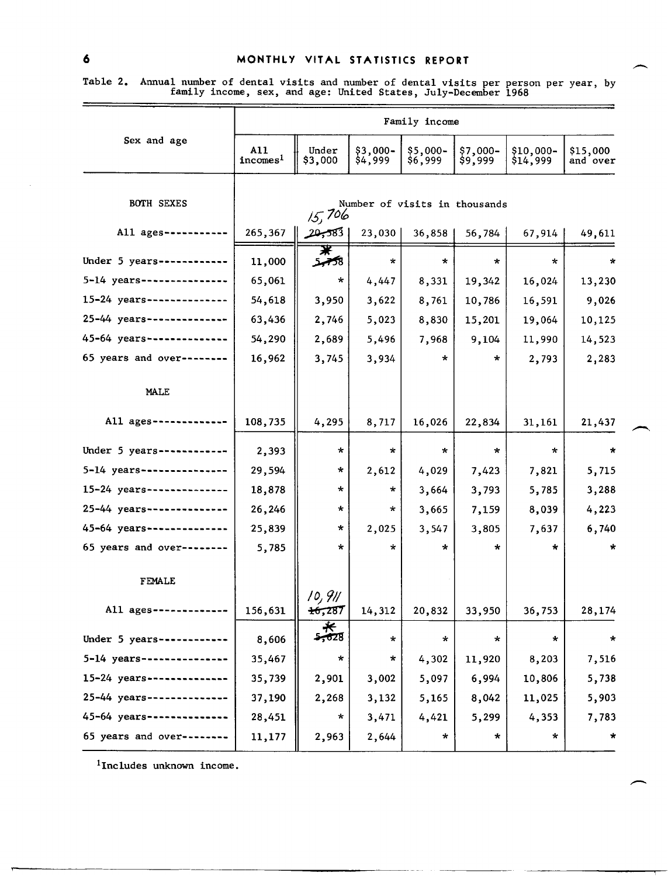## 6 MONTHLY VITAL STATISTICS REPORT

|                            | Family income               |                                         |                     |                     |                     |                       |                      |  |  |  |
|----------------------------|-----------------------------|-----------------------------------------|---------------------|---------------------|---------------------|-----------------------|----------------------|--|--|--|
| Sex and age                | A11<br>incomes <sup>1</sup> | Under<br>\$3,000                        | \$3,000-<br>\$4,999 | \$5,000-<br>\$6,999 | \$7,000-<br>\$9,999 | \$10,000-<br>\$14,999 | \$15,000<br>and over |  |  |  |
| <b>BOTH SEXES</b>          |                             | Number of visits in thousands<br>15,706 |                     |                     |                     |                       |                      |  |  |  |
| All ages -----------       | 265,367                     | 20,583                                  | 23,030              | 36,858              | 56,784              | 67,914                | 49,611               |  |  |  |
| Under 5 years------------  | 11,000                      | ₮<br>8 <del>گه</del> ر                  | $\star$             | $\star$             | $\star$             | $\star$               | $\star$              |  |  |  |
| 5-14 years --------------- | 65,061                      | $\star$                                 | 4,447               | 8,331               | 19,342              | 16,024                | 13,230               |  |  |  |
| 15-24 years--------------  | 54,618                      | 3,950                                   | 3,622               | 8,761               | 10,786              | 16,591                | 9,026                |  |  |  |
| 25-44 years--------------  | 63,436                      | 2,746                                   | 5,023               | 8,830               | 15,201              | 19,064                | 10,125               |  |  |  |
| 45-64 years--------------  | 54,290                      | 2,689                                   | 5,496               | 7,968               | 9,104               | 11,990                | 14,523               |  |  |  |
| 65 years and over--------  | 16,962                      | 3,745                                   | 3,934               | $\star$             | *                   | 2,793                 | 2,283                |  |  |  |
| MALE                       |                             |                                         |                     |                     |                     |                       |                      |  |  |  |
| All ages -------------     | 108,735                     | 4,295                                   | 8,717               | 16,026              | 22,834              | 31,161                | 21,437               |  |  |  |
| Under 5 years------------  | 2,393                       | $\star$                                 | $\star$             | *                   | $\star$             | $\star$               | $\boldsymbol{\pi}$   |  |  |  |
| 5-14 years---------------  | 29,594                      | $\star$                                 | 2,612               | 4,029               | 7,423               | 7,821                 | 5,715                |  |  |  |
| 15-24 years--------------  | 18,878                      | $\star$                                 | *                   | 3,664               | 3,793               | 5,785                 | 3,288                |  |  |  |
| 25-44 years -------------- | 26,246                      | $\star$                                 | $\star$             | 3,665               | 7,159               | 8,039                 | 4,223                |  |  |  |
| 45-64 years -------------  | 25,839                      | $\star$                                 | 2,025               | 3,547               | 3,805               | 7,637                 | 6,740                |  |  |  |
| 65 years and over--------  | 5,785                       | $\star$                                 | ÷                   | $\star$             | $\star$             | $\star$               | $\star$              |  |  |  |
| <b>FEMALE</b>              |                             | 10, 911                                 |                     |                     |                     |                       |                      |  |  |  |
| All ages -------------     | 156,631                     | $+6,287$                                | 14,312              | 20,832              | 33,950              | 36,753                | 28,174               |  |  |  |
| Under 5 years-------       | 8,606                       | $\frac{1}{2028}$                        | *                   | $\star$             | $\star$             | $\star$               | $\star$              |  |  |  |
| 5-14 years----------       | 35,467                      | $\star$                                 | *                   | 4,302               | 11,920              | 8,203                 | 7,516                |  |  |  |
| $15 - 24$ years-------     | 35,739                      | 2,901                                   | 3,002               | 5,097               | 6,994               | 10,806                | 5,738                |  |  |  |
| 25-44 years-----------     | 37,190                      | 2,268                                   | 3,132               | 5,165               | 8,042               | 11,025                | 5,903                |  |  |  |
| 45-64 years---             | 28,451                      | $\star$                                 | 3,471               | 4,421               | 5,299               | 4,353                 | 7,783                |  |  |  |
| 65 years and over----      | 11,177                      | 2,963                                   | 2,644               | *                   | *                   | *                     | *                    |  |  |  |
|                            |                             |                                         |                     |                     |                     |                       |                      |  |  |  |

Table 2. Annual number of dental visits and number of dental visits per person per year, by family income, sex, and age: United States, July-December 1968

 $1$ Includes unknown income.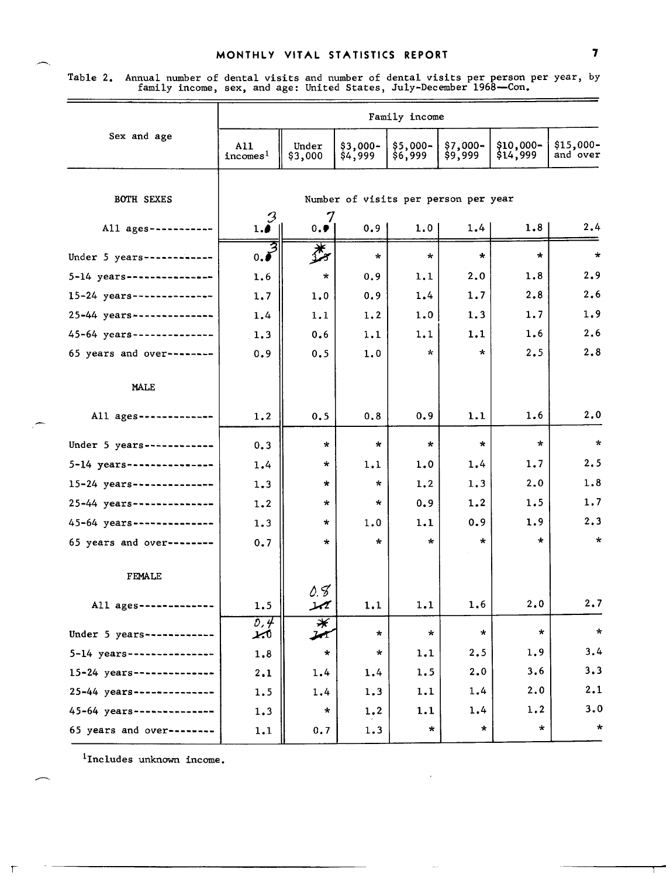## MONTHLY VITAL STATISTICS REPORT

| Table 2. Annual number of dental visits and number of dental visits per person per year, by |  |  |  |
|---------------------------------------------------------------------------------------------|--|--|--|
| family income, sex, and age: United States, July-December 1968-Con.                         |  |  |  |

|                            | Family income               |                                         |                     |                     |                      |                       |                       |  |  |  |
|----------------------------|-----------------------------|-----------------------------------------|---------------------|---------------------|----------------------|-----------------------|-----------------------|--|--|--|
| Sex and age                | A11<br>incomes <sup>1</sup> | Under<br>\$3,000                        | \$3,000-<br>\$4,999 | \$5,000-<br>\$6,999 | $$7,000-$<br>\$9,999 | \$10,000-<br>\$14,999 | \$15,000-<br>and over |  |  |  |
| <b>BOTH SEXES</b>          |                             | Number of visits per person per year    |                     |                     |                      |                       |                       |  |  |  |
| All ages --------          | $\mathcal{C}$<br>1.4        | 7<br>0.9                                | 0.9                 | 1.0                 | 1.4                  | 1.8                   | 2.4                   |  |  |  |
| Under 5 years ------------ | $\overline{0.5}$            | 娄                                       | $\star$             | $\star$             | $\star$              | $\star$               | $\star$               |  |  |  |
| 5-14 years---------------  | 1.6                         | $\star$                                 | 0.9                 | 1.1                 | 2.0                  | 1.8                   | 2, 9                  |  |  |  |
| 15-24 years--------------  | 1.7                         | 1.0                                     | 0.9                 | 1.4                 | 1.7                  | 2.8                   | 2.6                   |  |  |  |
| 25-44 years--------------  | 1.4                         | 1.1                                     | 1.2                 | 1.0                 | 1.3                  | 1.7                   | 1.9                   |  |  |  |
| 45-64 years--------------  | 1.3                         | 0.6                                     | 1.1                 | 1.1                 | 1.1                  | 1.6                   | 2.6                   |  |  |  |
| 65 years and over--------  | 0.9                         | 0.5                                     | 1.0                 | $\star$             | $\star$              | 2.5                   | 2.8                   |  |  |  |
| <b>MALE</b>                |                             |                                         |                     |                     |                      |                       |                       |  |  |  |
| All ages ----------        | 1.2                         | 0.5                                     | 0, 8                | 0.9                 | 1.1                  | 1.6                   | 2.0                   |  |  |  |
| Under $5$ years----------  | 0.3                         | $\star$                                 | $\star$             | $\star$             | $\star$              | $\star$               | $\star$               |  |  |  |
| 5-14 years---------------  | 1.4                         | $\star$                                 | 1.1                 | 1.0                 | 1.4                  | 1.7                   | 2.5                   |  |  |  |
| 15-24 years--------------- | 1.3                         | *                                       | $\star$             | 1, 2                | 1.3                  | 2.0                   | 1.8                   |  |  |  |
| 25-44 years--------------  | 1.2                         | *                                       | $\star$             | 0.9                 | 1.2                  | 1.5                   | 1.7                   |  |  |  |
| 45-64 years--------------  | 1.3                         | $\star$                                 | 1.0                 | 1.1                 | 0.9                  | 1.9                   | 2.3                   |  |  |  |
| 65 years and over -----    | 0.7                         | $\star$                                 | $\star$             | $\star$             | $\star$              | $\star$               | $\star$               |  |  |  |
| FEMALE                     |                             | 0.8                                     |                     |                     |                      |                       |                       |  |  |  |
| All $ages$ ---------       | 1.5                         | يمر                                     | 1.1                 | 1.1                 | 1.6                  | 2,0                   | 2.7                   |  |  |  |
| Under 5 years ------------ | o, 4<br>ابمذ                | <del></del><br>$\boldsymbol{\varkappa}$ | $\star$             | $\star$             | $\star$              | $\star$               | $\star$               |  |  |  |
| 5-14 years---------------- | 1.8                         | $\star$                                 | $\star$             | 1.1                 | 2, 5                 | 1.9                   | 3.4                   |  |  |  |
| 15-24 years--------------  | 2.1                         | 1.4                                     | 1.4                 | 1.5                 | 2,0                  | 3,6                   | 3.3                   |  |  |  |
| 25-44 years--------------  | 1.5                         | 1.4                                     | 1.3                 | 1.1                 | 1.4                  | 2.0                   | 2.1                   |  |  |  |
| 45-64 years--------------  | 1.3                         | *                                       | 1.2                 | 1.1                 | 1.4                  | 1.2                   | 3.0                   |  |  |  |
| 65 years and over--------  | 1.1                         | 0.7                                     | 1.3                 | $\star$             | $\star$              | $\star$               | $\star$               |  |  |  |

 $1$ Includes unknown income.

 $\top$ 

<u> Alexandria de Alexandria de la contrada de la contrada de la contrada de la contrada de la contrada de la co</u>